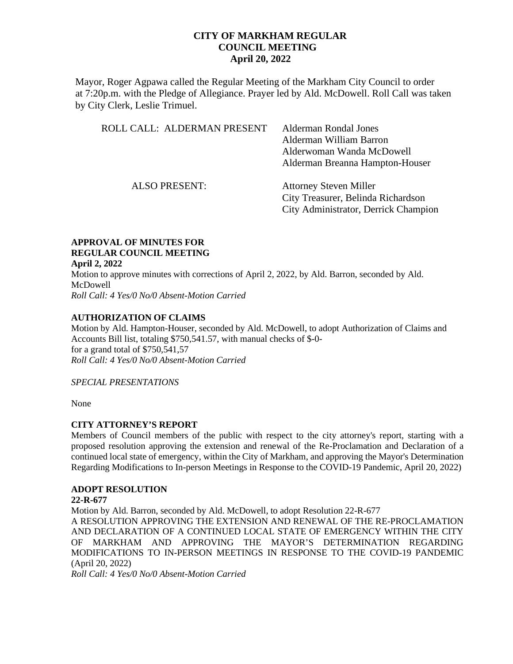Mayor, Roger Agpawa called the Regular Meeting of the Markham City Council to order at 7:20p.m. with the Pledge of Allegiance. Prayer led by Ald. McDowell. Roll Call was taken by City Clerk, Leslie Trimuel.

| ROLL CALL: ALDERMAN PRESENT | Alderman Rondal Jones<br>Alderman William Barron<br>Alderwoman Wanda McDowell<br>Alderman Breanna Hampton-Houser |
|-----------------------------|------------------------------------------------------------------------------------------------------------------|
| <b>ALSO PRESENT:</b>        | <b>Attorney Steven Miller</b><br>City Treasurer, Belinda Richardson<br>City Administrator, Derrick Champion      |

#### **APPROVAL OF MINUTES FOR REGULAR COUNCIL MEETING April 2, 2022**

Motion to approve minutes with corrections of April 2, 2022, by Ald. Barron, seconded by Ald. McDowell *Roll Call: 4 Yes/0 No/0 Absent-Motion Carried*

## **AUTHORIZATION OF CLAIMS**

Motion by Ald. Hampton-Houser, seconded by Ald. McDowell, to adopt Authorization of Claims and Accounts Bill list, totaling \$750,541.57, with manual checks of \$-0 for a grand total of \$750,541,57 *Roll Call: 4 Yes/0 No/0 Absent-Motion Carried*

## *SPECIAL PRESENTATIONS*

None

## **CITY ATTORNEY'S REPORT**

Members of Council members of the public with respect to the city attorney's report, starting with a proposed resolution approving the extension and renewal of the Re-Proclamation and Declaration of a continued local state of emergency, within the City of Markham, and approving the Mayor's Determination Regarding Modifications to In-person Meetings in Response to the COVID-19 Pandemic, April 20, 2022)

## **ADOPT RESOLUTION**

## **22-R-677**

Motion by Ald. Barron, seconded by Ald. McDowell, to adopt Resolution 22-R-677 A RESOLUTION APPROVING THE EXTENSION AND RENEWAL OF THE RE-PROCLAMATION AND DECLARATION OF A CONTINUED LOCAL STATE OF EMERGENCY WITHIN THE CITY OF MARKHAM AND APPROVING THE MAYOR'S DETERMINATION REGARDING MODIFICATIONS TO IN-PERSON MEETINGS IN RESPONSE TO THE COVID-19 PANDEMIC (April 20, 2022)

*Roll Call: 4 Yes/0 No/0 Absent-Motion Carried*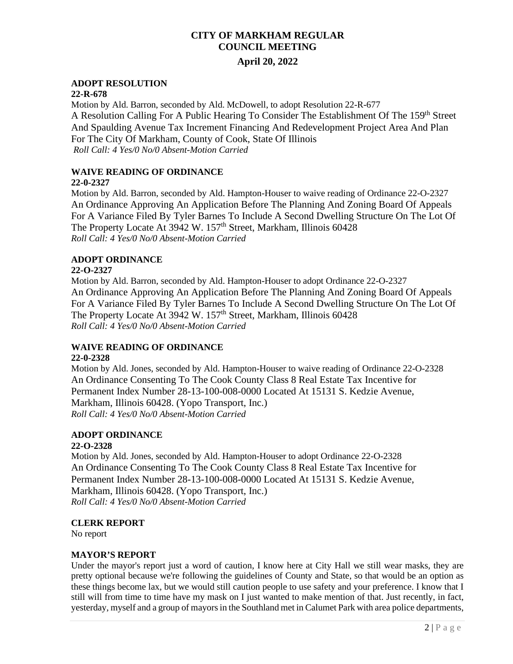# **CITY OF MARKHAM REGULAR COUNCIL MEETING**

## **April 20, 2022**

## **ADOPT RESOLUTION**

## **22-R-678**

Motion by Ald. Barron, seconded by Ald. McDowell, to adopt Resolution 22-R-677 A Resolution Calling For A Public Hearing To Consider The Establishment Of The 159<sup>th</sup> Street And Spaulding Avenue Tax Increment Financing And Redevelopment Project Area And Plan For The City Of Markham, County of Cook, State Of Illinois *Roll Call: 4 Yes/0 No/0 Absent-Motion Carried* 

## **WAIVE READING OF ORDINANCE**

## **22-0-2327**

Motion by Ald. Barron, seconded by Ald. Hampton-Houser to waive reading of Ordinance 22-O-2327 An Ordinance Approving An Application Before The Planning And Zoning Board Of Appeals For A Variance Filed By Tyler Barnes To Include A Second Dwelling Structure On The Lot Of The Property Locate At 3942 W. 157<sup>th</sup> Street, Markham, Illinois 60428 *Roll Call: 4 Yes/0 No/0 Absent-Motion Carried* 

## **ADOPT ORDINANCE**

## **22-O-2327**

Motion by Ald. Barron, seconded by Ald. Hampton-Houser to adopt Ordinance 22-O-2327 An Ordinance Approving An Application Before The Planning And Zoning Board Of Appeals For A Variance Filed By Tyler Barnes To Include A Second Dwelling Structure On The Lot Of The Property Locate At 3942 W. 157<sup>th</sup> Street, Markham, Illinois 60428 *Roll Call: 4 Yes/0 No/0 Absent-Motion Carried* 

## **WAIVE READING OF ORDINANCE**

## **22-0-2328**

Motion by Ald. Jones, seconded by Ald. Hampton-Houser to waive reading of Ordinance 22-O-2328 An Ordinance Consenting To The Cook County Class 8 Real Estate Tax Incentive for Permanent Index Number 28-13-100-008-0000 Located At 15131 S. Kedzie Avenue, Markham, Illinois 60428. (Yopo Transport, Inc.) *Roll Call: 4 Yes/0 No/0 Absent-Motion Carried* 

#### **ADOPT ORDINANCE 22-O-2328**

Motion by Ald. Jones, seconded by Ald. Hampton-Houser to adopt Ordinance 22-O-2328 An Ordinance Consenting To The Cook County Class 8 Real Estate Tax Incentive for Permanent Index Number 28-13-100-008-0000 Located At 15131 S. Kedzie Avenue, Markham, Illinois 60428. (Yopo Transport, Inc.) *Roll Call: 4 Yes/0 No/0 Absent-Motion Carried* 

## **CLERK REPORT**

No report

## **MAYOR'S REPORT**

Under the mayor's report just a word of caution, I know here at City Hall we still wear masks, they are pretty optional because we're following the guidelines of County and State, so that would be an option as these things become lax, but we would still caution people to use safety and your preference. I know that I still will from time to time have my mask on I just wanted to make mention of that. Just recently, in fact, yesterday, myself and a group of mayors in the Southland met in Calumet Park with area police departments,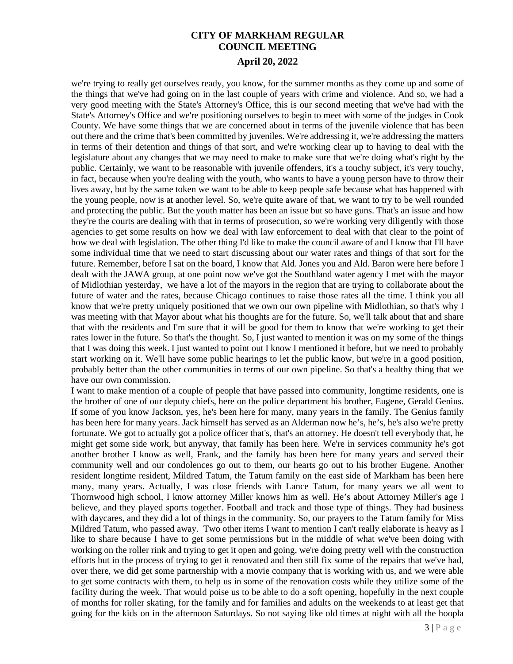we're trying to really get ourselves ready, you know, for the summer months as they come up and some of the things that we've had going on in the last couple of years with crime and violence. And so, we had a very good meeting with the State's Attorney's Office, this is our second meeting that we've had with the State's Attorney's Office and we're positioning ourselves to begin to meet with some of the judges in Cook County. We have some things that we are concerned about in terms of the juvenile violence that has been out there and the crime that's been committed by juveniles. We're addressing it, we're addressing the matters in terms of their detention and things of that sort, and we're working clear up to having to deal with the legislature about any changes that we may need to make to make sure that we're doing what's right by the public. Certainly, we want to be reasonable with juvenile offenders, it's a touchy subject, it's very touchy, in fact, because when you're dealing with the youth, who wants to have a young person have to throw their lives away, but by the same token we want to be able to keep people safe because what has happened with the young people, now is at another level. So, we're quite aware of that, we want to try to be well rounded and protecting the public. But the youth matter has been an issue but so have guns. That's an issue and how they're the courts are dealing with that in terms of prosecution, so we're working very diligently with those agencies to get some results on how we deal with law enforcement to deal with that clear to the point of how we deal with legislation. The other thing I'd like to make the council aware of and I know that I'll have some individual time that we need to start discussing about our water rates and things of that sort for the future. Remember, before I sat on the board, I know that Ald. Jones you and Ald. Baron were here before I dealt with the JAWA group, at one point now we've got the Southland water agency I met with the mayor of Midlothian yesterday, we have a lot of the mayors in the region that are trying to collaborate about the future of water and the rates, because Chicago continues to raise those rates all the time. I think you all know that we're pretty uniquely positioned that we own our own pipeline with Midlothian, so that's why I was meeting with that Mayor about what his thoughts are for the future. So, we'll talk about that and share that with the residents and I'm sure that it will be good for them to know that we're working to get their rates lower in the future. So that's the thought. So, I just wanted to mention it was on my some of the things that I was doing this week. I just wanted to point out I know I mentioned it before, but we need to probably start working on it. We'll have some public hearings to let the public know, but we're in a good position, probably better than the other communities in terms of our own pipeline. So that's a healthy thing that we have our own commission.

I want to make mention of a couple of people that have passed into community, longtime residents, one is the brother of one of our deputy chiefs, here on the police department his brother, Eugene, Gerald Genius. If some of you know Jackson, yes, he's been here for many, many years in the family. The Genius family has been here for many years. Jack himself has served as an Alderman now he's, he's, he's also we're pretty fortunate. We got to actually got a police officer that's, that's an attorney. He doesn't tell everybody that, he might get some side work, but anyway, that family has been here. We're in services community he's got another brother I know as well, Frank, and the family has been here for many years and served their community well and our condolences go out to them, our hearts go out to his brother Eugene. Another resident longtime resident, Mildred Tatum, the Tatum family on the east side of Markham has been here many, many years. Actually, I was close friends with Lance Tatum, for many years we all went to Thornwood high school, I know attorney Miller knows him as well. He's about Attorney Miller's age I believe, and they played sports together. Football and track and those type of things. They had business with daycares, and they did a lot of things in the community. So, our prayers to the Tatum family for Miss Mildred Tatum, who passed away. Two other items I want to mention I can't really elaborate is heavy as I like to share because I have to get some permissions but in the middle of what we've been doing with working on the roller rink and trying to get it open and going, we're doing pretty well with the construction efforts but in the process of trying to get it renovated and then still fix some of the repairs that we've had, over there, we did get some partnership with a movie company that is working with us, and we were able to get some contracts with them, to help us in some of the renovation costs while they utilize some of the facility during the week. That would poise us to be able to do a soft opening, hopefully in the next couple of months for roller skating, for the family and for families and adults on the weekends to at least get that going for the kids on in the afternoon Saturdays. So not saying like old times at night with all the hoopla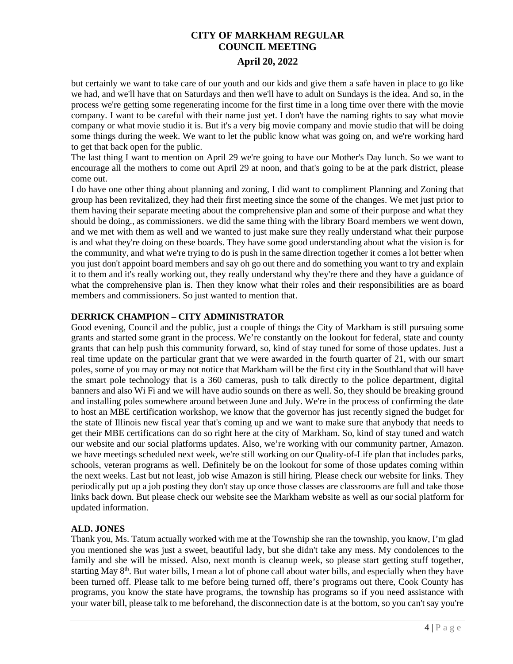but certainly we want to take care of our youth and our kids and give them a safe haven in place to go like we had, and we'll have that on Saturdays and then we'll have to adult on Sundays is the idea. And so, in the process we're getting some regenerating income for the first time in a long time over there with the movie company. I want to be careful with their name just yet. I don't have the naming rights to say what movie company or what movie studio it is. But it's a very big movie company and movie studio that will be doing some things during the week. We want to let the public know what was going on, and we're working hard to get that back open for the public.

The last thing I want to mention on April 29 we're going to have our Mother's Day lunch. So we want to encourage all the mothers to come out April 29 at noon, and that's going to be at the park district, please come out.

I do have one other thing about planning and zoning, I did want to compliment Planning and Zoning that group has been revitalized, they had their first meeting since the some of the changes. We met just prior to them having their separate meeting about the comprehensive plan and some of their purpose and what they should be doing., as commissioners. we did the same thing with the library Board members we went down, and we met with them as well and we wanted to just make sure they really understand what their purpose is and what they're doing on these boards. They have some good understanding about what the vision is for the community, and what we're trying to do is push in the same direction together it comes a lot better when you just don't appoint board members and say oh go out there and do something you want to try and explain it to them and it's really working out, they really understand why they're there and they have a guidance of what the comprehensive plan is. Then they know what their roles and their responsibilities are as board members and commissioners. So just wanted to mention that.

## **DERRICK CHAMPION – CITY ADMINISTRATOR**

Good evening, Council and the public, just a couple of things the City of Markham is still pursuing some grants and started some grant in the process. We're constantly on the lookout for federal, state and county grants that can help push this community forward, so, kind of stay tuned for some of those updates. Just a real time update on the particular grant that we were awarded in the fourth quarter of 21, with our smart poles, some of you may or may not notice that Markham will be the first city in the Southland that will have the smart pole technology that is a 360 cameras, push to talk directly to the police department, digital banners and also Wi Fi and we will have audio sounds on there as well. So, they should be breaking ground and installing poles somewhere around between June and July. We're in the process of confirming the date to host an MBE certification workshop, we know that the governor has just recently signed the budget for the state of Illinois new fiscal year that's coming up and we want to make sure that anybody that needs to get their MBE certifications can do so right here at the city of Markham. So, kind of stay tuned and watch our website and our social platforms updates. Also, we're working with our community partner, Amazon. we have meetings scheduled next week, we're still working on our Quality-of-Life plan that includes parks, schools, veteran programs as well. Definitely be on the lookout for some of those updates coming within the next weeks. Last but not least, job wise Amazon is still hiring. Please check our website for links. They periodically put up a job posting they don't stay up once those classes are classrooms are full and take those links back down. But please check our website see the Markham website as well as our social platform for updated information.

## **ALD. JONES**

Thank you, Ms. Tatum actually worked with me at the Township she ran the township, you know, I'm glad you mentioned she was just a sweet, beautiful lady, but she didn't take any mess. My condolences to the family and she will be missed. Also, next month is cleanup week, so please start getting stuff together, starting May 8th. But water bills, I mean a lot of phone call about water bills, and especially when they have been turned off. Please talk to me before being turned off, there's programs out there, Cook County has programs, you know the state have programs, the township has programs so if you need assistance with your water bill, please talk to me beforehand, the disconnection date is at the bottom, so you can't say you're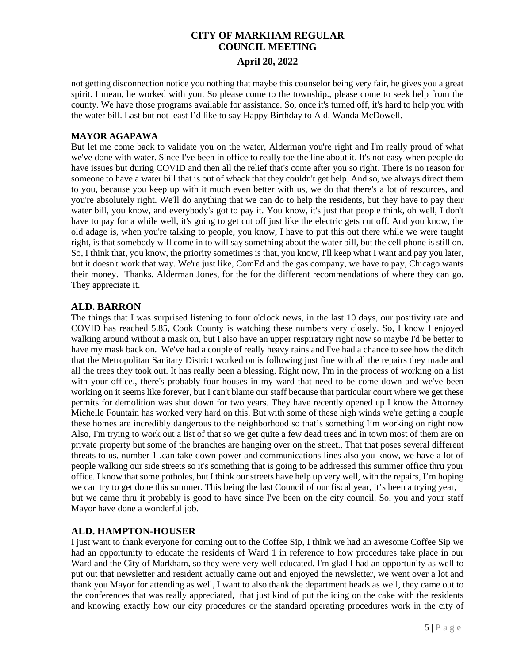not getting disconnection notice you nothing that maybe this counselor being very fair, he gives you a great spirit. I mean, he worked with you. So please come to the township., please come to seek help from the county. We have those programs available for assistance. So, once it's turned off, it's hard to help you with the water bill. Last but not least I'd like to say Happy Birthday to Ald. Wanda McDowell.

## **MAYOR AGAPAWA**

But let me come back to validate you on the water, Alderman you're right and I'm really proud of what we've done with water. Since I've been in office to really toe the line about it. It's not easy when people do have issues but during COVID and then all the relief that's come after you so right. There is no reason for someone to have a water bill that is out of whack that they couldn't get help. And so, we always direct them to you, because you keep up with it much even better with us, we do that there's a lot of resources, and you're absolutely right. We'll do anything that we can do to help the residents, but they have to pay their water bill, you know, and everybody's got to pay it. You know, it's just that people think, oh well, I don't have to pay for a while well, it's going to get cut off just like the electric gets cut off. And you know, the old adage is, when you're talking to people, you know, I have to put this out there while we were taught right, is that somebody will come in to will say something about the water bill, but the cell phone is still on. So, I think that, you know, the priority sometimes is that, you know, I'll keep what I want and pay you later, but it doesn't work that way. We're just like, ComEd and the gas company, we have to pay, Chicago wants their money. Thanks, Alderman Jones, for the for the different recommendations of where they can go. They appreciate it.

## **ALD. BARRON**

The things that I was surprised listening to four o'clock news, in the last 10 days, our positivity rate and COVID has reached 5.85, Cook County is watching these numbers very closely. So, I know I enjoyed walking around without a mask on, but I also have an upper respiratory right now so maybe I'd be better to have my mask back on. We've had a couple of really heavy rains and I've had a chance to see how the ditch that the Metropolitan Sanitary District worked on is following just fine with all the repairs they made and all the trees they took out. It has really been a blessing. Right now, I'm in the process of working on a list with your office., there's probably four houses in my ward that need to be come down and we've been working on it seems like forever, but I can't blame our staff because that particular court where we get these permits for demolition was shut down for two years. They have recently opened up I know the Attorney Michelle Fountain has worked very hard on this. But with some of these high winds we're getting a couple these homes are incredibly dangerous to the neighborhood so that's something I'm working on right now Also, I'm trying to work out a list of that so we get quite a few dead trees and in town most of them are on private property but some of the branches are hanging over on the street., That that poses several different threats to us, number 1 ,can take down power and communications lines also you know, we have a lot of people walking our side streets so it's something that is going to be addressed this summer office thru your office. I know that some potholes, but I think our streets have help up very well, with the repairs, I'm hoping we can try to get done this summer. This being the last Council of our fiscal year, it's been a trying year, but we came thru it probably is good to have since I've been on the city council. So, you and your staff Mayor have done a wonderful job.

## **ALD. HAMPTON-HOUSER**

I just want to thank everyone for coming out to the Coffee Sip, I think we had an awesome Coffee Sip we had an opportunity to educate the residents of Ward 1 in reference to how procedures take place in our Ward and the City of Markham, so they were very well educated. I'm glad I had an opportunity as well to put out that newsletter and resident actually came out and enjoyed the newsletter, we went over a lot and thank you Mayor for attending as well, I want to also thank the department heads as well, they came out to the conferences that was really appreciated, that just kind of put the icing on the cake with the residents and knowing exactly how our city procedures or the standard operating procedures work in the city of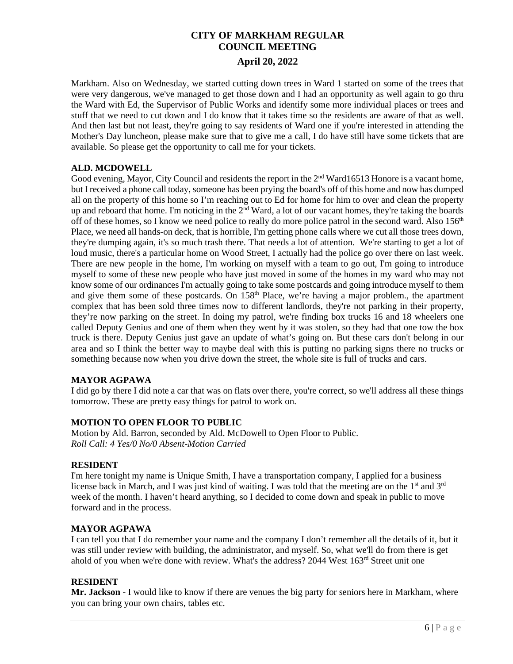Markham. Also on Wednesday, we started cutting down trees in Ward 1 started on some of the trees that were very dangerous, we've managed to get those down and I had an opportunity as well again to go thru the Ward with Ed, the Supervisor of Public Works and identify some more individual places or trees and stuff that we need to cut down and I do know that it takes time so the residents are aware of that as well. And then last but not least, they're going to say residents of Ward one if you're interested in attending the Mother's Day luncheon, please make sure that to give me a call, I do have still have some tickets that are available. So please get the opportunity to call me for your tickets.

## **ALD. MCDOWELL**

Good evening, Mayor, City Council and residents the report in the 2<sup>nd</sup> Ward16513 Honore is a vacant home, but I received a phone call today, someone has been prying the board's off of this home and now has dumped all on the property of this home so I'm reaching out to Ed for home for him to over and clean the property up and reboard that home. I'm noticing in the  $2<sup>nd</sup>$  Ward, a lot of our vacant homes, they're taking the boards off of these homes, so I know we need police to really do more police patrol in the second ward. Also 156<sup>th</sup> Place, we need all hands-on deck, that is horrible, I'm getting phone calls where we cut all those trees down, they're dumping again, it's so much trash there. That needs a lot of attention. We're starting to get a lot of loud music, there's a particular home on Wood Street, I actually had the police go over there on last week. There are new people in the home, I'm working on myself with a team to go out, I'm going to introduce myself to some of these new people who have just moved in some of the homes in my ward who may not know some of our ordinances I'm actually going to take some postcards and going introduce myself to them and give them some of these postcards. On 158<sup>th</sup> Place, we're having a major problem., the apartment complex that has been sold three times now to different landlords, they're not parking in their property, they're now parking on the street. In doing my patrol, we're finding box trucks 16 and 18 wheelers one called Deputy Genius and one of them when they went by it was stolen, so they had that one tow the box truck is there. Deputy Genius just gave an update of what's going on. But these cars don't belong in our area and so I think the better way to maybe deal with this is putting no parking signs there no trucks or something because now when you drive down the street, the whole site is full of trucks and cars.

## **MAYOR AGPAWA**

I did go by there I did note a car that was on flats over there, you're correct, so we'll address all these things tomorrow. These are pretty easy things for patrol to work on.

## **MOTION TO OPEN FLOOR TO PUBLIC**

Motion by Ald. Barron, seconded by Ald. McDowell to Open Floor to Public. *Roll Call: 4 Yes/0 No/0 Absent-Motion Carried*

## **RESIDENT**

I'm here tonight my name is Unique Smith, I have a transportation company, I applied for a business license back in March, and I was just kind of waiting. I was told that the meeting are on the 1<sup>st</sup> and 3<sup>rd</sup> week of the month. I haven't heard anything, so I decided to come down and speak in public to move forward and in the process.

## **MAYOR AGPAWA**

I can tell you that I do remember your name and the company I don't remember all the details of it, but it was still under review with building, the administrator, and myself. So, what we'll do from there is get ahold of you when we're done with review. What's the address? 2044 West 163<sup>rd</sup> Street unit one

## **RESIDENT**

**Mr. Jackson** - I would like to know if there are venues the big party for seniors here in Markham, where you can bring your own chairs, tables etc.